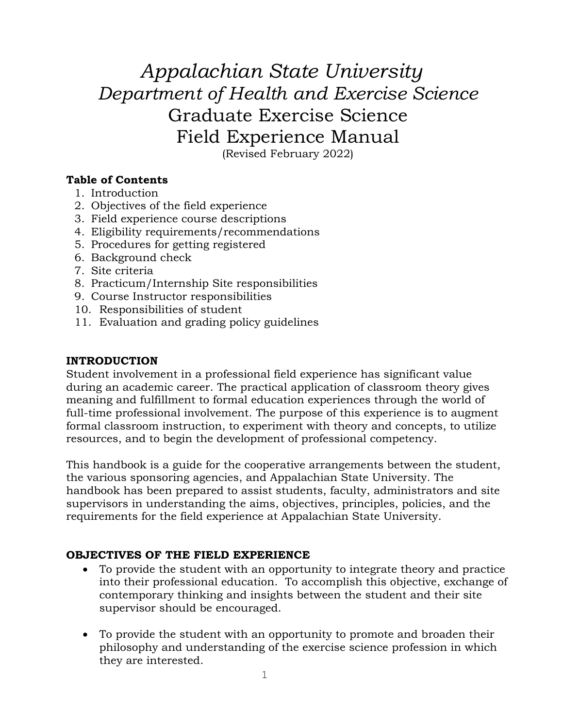# *Appalachian State University Department of Health and Exercise Science* Graduate Exercise Science Field Experience Manual (Revised February 2022)

**Table of Contents**

- 1. Introduction
- 2. Objectives of the field experience
- 3. Field experience course descriptions
- 4. Eligibility requirements/recommendations
- 5. Procedures for getting registered
- 6. Background check
- 7. Site criteria
- 8. Practicum/Internship Site responsibilities
- 9. Course Instructor responsibilities
- 10. Responsibilities of student
- 11. Evaluation and grading policy guidelines

# **INTRODUCTION**

Student involvement in a professional field experience has significant value during an academic career. The practical application of classroom theory gives meaning and fulfillment to formal education experiences through the world of full-time professional involvement. The purpose of this experience is to augment formal classroom instruction, to experiment with theory and concepts, to utilize resources, and to begin the development of professional competency.

This handbook is a guide for the cooperative arrangements between the student, the various sponsoring agencies, and Appalachian State University. The handbook has been prepared to assist students, faculty, administrators and site supervisors in understanding the aims, objectives, principles, policies, and the requirements for the field experience at Appalachian State University.

# **OBJECTIVES OF THE FIELD EXPERIENCE**

- To provide the student with an opportunity to integrate theory and practice into their professional education. To accomplish this objective, exchange of contemporary thinking and insights between the student and their site supervisor should be encouraged.
- To provide the student with an opportunity to promote and broaden their philosophy and understanding of the exercise science profession in which they are interested.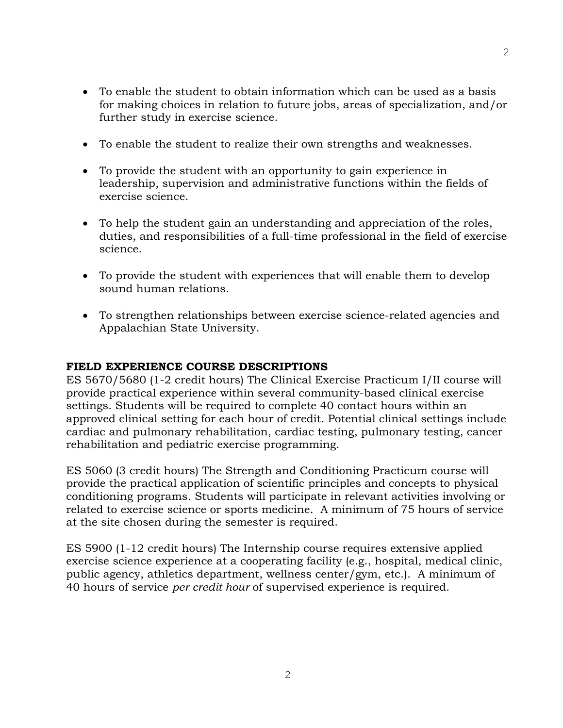- To enable the student to obtain information which can be used as a basis for making choices in relation to future jobs, areas of specialization, and/or further study in exercise science.
- To enable the student to realize their own strengths and weaknesses.
- To provide the student with an opportunity to gain experience in leadership, supervision and administrative functions within the fields of exercise science.
- To help the student gain an understanding and appreciation of the roles, duties, and responsibilities of a full-time professional in the field of exercise science.
- To provide the student with experiences that will enable them to develop sound human relations.
- To strengthen relationships between exercise science-related agencies and Appalachian State University.

# **FIELD EXPERIENCE COURSE DESCRIPTIONS**

ES 5670/5680 (1-2 credit hours) The Clinical Exercise Practicum I/II course will provide practical experience within several community-based clinical exercise settings. Students will be required to complete 40 contact hours within an approved clinical setting for each hour of credit. Potential clinical settings include cardiac and pulmonary rehabilitation, cardiac testing, pulmonary testing, cancer rehabilitation and pediatric exercise programming.

ES 5060 (3 credit hours) The Strength and Conditioning Practicum course will provide the practical application of scientific principles and concepts to physical conditioning programs. Students will participate in relevant activities involving or related to exercise science or sports medicine. A minimum of 75 hours of service at the site chosen during the semester is required.

ES 5900 (1-12 credit hours) The Internship course requires extensive applied exercise science experience at a cooperating facility (e.g., hospital, medical clinic, public agency, athletics department, wellness center/gym, etc.). A minimum of 40 hours of service *per credit hour* of supervised experience is required.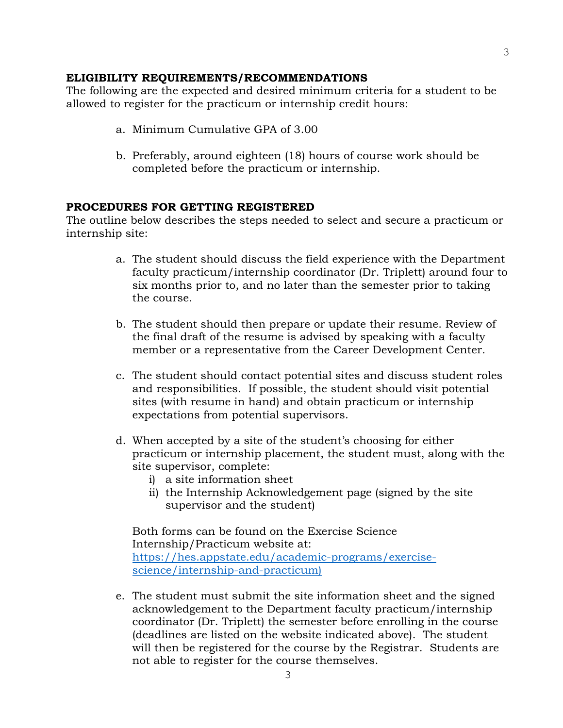#### **ELIGIBILITY REQUIREMENTS/RECOMMENDATIONS**

The following are the expected and desired minimum criteria for a student to be allowed to register for the practicum or internship credit hours:

- a. Minimum Cumulative GPA of 3.00
- b. Preferably, around eighteen (18) hours of course work should be completed before the practicum or internship.

#### **PROCEDURES FOR GETTING REGISTERED**

The outline below describes the steps needed to select and secure a practicum or internship site:

- a. The student should discuss the field experience with the Department faculty practicum/internship coordinator (Dr. Triplett) around four to six months prior to, and no later than the semester prior to taking the course.
- b. The student should then prepare or update their resume. Review of the final draft of the resume is advised by speaking with a faculty member or a representative from the Career Development Center.
- c. The student should contact potential sites and discuss student roles and responsibilities. If possible, the student should visit potential sites (with resume in hand) and obtain practicum or internship expectations from potential supervisors.
- d. When accepted by a site of the student's choosing for either practicum or internship placement, the student must, along with the site supervisor, complete:
	- i) a site information sheet
	- ii) the Internship Acknowledgement page (signed by the site supervisor and the student)

Both forms can be found on the Exercise Science Internship/Practicum website at: [https://hes.appstate.edu/academic-programs/exercise](https://hes.appstate.edu/academic-programs/exercise-science/internship-and-practicum)[science/internship-and-practicum\)](https://hes.appstate.edu/academic-programs/exercise-science/internship-and-practicum)

e. The student must submit the site information sheet and the signed acknowledgement to the Department faculty practicum/internship coordinator (Dr. Triplett) the semester before enrolling in the course (deadlines are listed on the website indicated above). The student will then be registered for the course by the Registrar. Students are not able to register for the course themselves.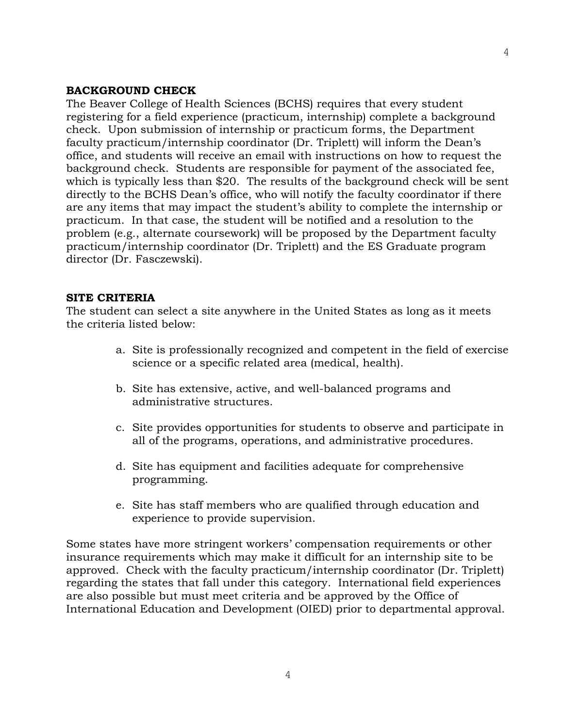## **BACKGROUND CHECK**

The Beaver College of Health Sciences (BCHS) requires that every student registering for a field experience (practicum, internship) complete a background check. Upon submission of internship or practicum forms, the Department faculty practicum/internship coordinator (Dr. Triplett) will inform the Dean's office, and students will receive an email with instructions on how to request the background check. Students are responsible for payment of the associated fee, which is typically less than \$20. The results of the background check will be sent directly to the BCHS Dean's office, who will notify the faculty coordinator if there are any items that may impact the student's ability to complete the internship or practicum. In that case, the student will be notified and a resolution to the problem (e.g., alternate coursework) will be proposed by the Department faculty practicum/internship coordinator (Dr. Triplett) and the ES Graduate program director (Dr. Fasczewski).

#### **SITE CRITERIA**

The student can select a site anywhere in the United States as long as it meets the criteria listed below:

- a. Site is professionally recognized and competent in the field of exercise science or a specific related area (medical, health).
- b. Site has extensive, active, and well-balanced programs and administrative structures.
- c. Site provides opportunities for students to observe and participate in all of the programs, operations, and administrative procedures.
- d. Site has equipment and facilities adequate for comprehensive programming.
- e. Site has staff members who are qualified through education and experience to provide supervision.

Some states have more stringent workers' compensation requirements or other insurance requirements which may make it difficult for an internship site to be approved. Check with the faculty practicum/internship coordinator (Dr. Triplett) regarding the states that fall under this category. International field experiences are also possible but must meet criteria and be approved by the Office of International Education and Development (OIED) prior to departmental approval.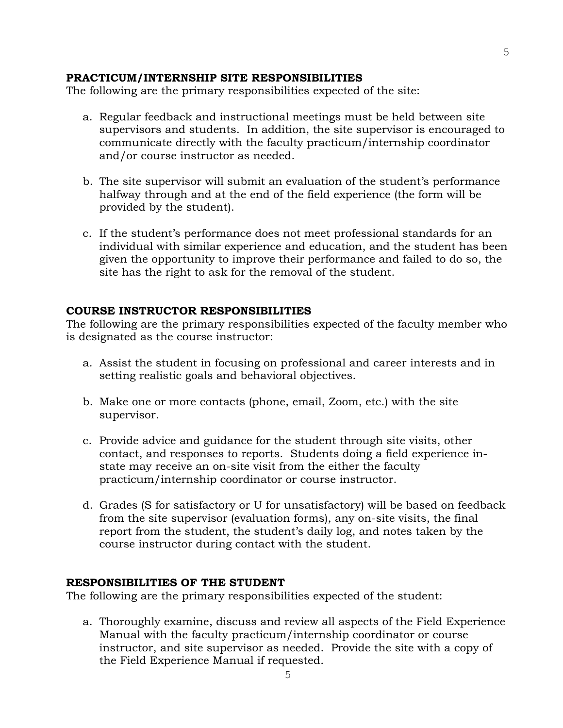## **PRACTICUM/INTERNSHIP SITE RESPONSIBILITIES**

The following are the primary responsibilities expected of the site:

- a. Regular feedback and instructional meetings must be held between site supervisors and students. In addition, the site supervisor is encouraged to communicate directly with the faculty practicum/internship coordinator and/or course instructor as needed.
- b. The site supervisor will submit an evaluation of the student's performance halfway through and at the end of the field experience (the form will be provided by the student).
- c. If the student's performance does not meet professional standards for an individual with similar experience and education, and the student has been given the opportunity to improve their performance and failed to do so, the site has the right to ask for the removal of the student.

## **COURSE INSTRUCTOR RESPONSIBILITIES**

The following are the primary responsibilities expected of the faculty member who is designated as the course instructor:

- a. Assist the student in focusing on professional and career interests and in setting realistic goals and behavioral objectives.
- b. Make one or more contacts (phone, email, Zoom, etc.) with the site supervisor.
- c. Provide advice and guidance for the student through site visits, other contact, and responses to reports. Students doing a field experience instate may receive an on-site visit from the either the faculty practicum/internship coordinator or course instructor.
- d. Grades (S for satisfactory or U for unsatisfactory) will be based on feedback from the site supervisor (evaluation forms), any on-site visits, the final report from the student, the student's daily log, and notes taken by the course instructor during contact with the student.

#### **RESPONSIBILITIES OF THE STUDENT**

The following are the primary responsibilities expected of the student:

a. Thoroughly examine, discuss and review all aspects of the Field Experience Manual with the faculty practicum/internship coordinator or course instructor, and site supervisor as needed. Provide the site with a copy of the Field Experience Manual if requested.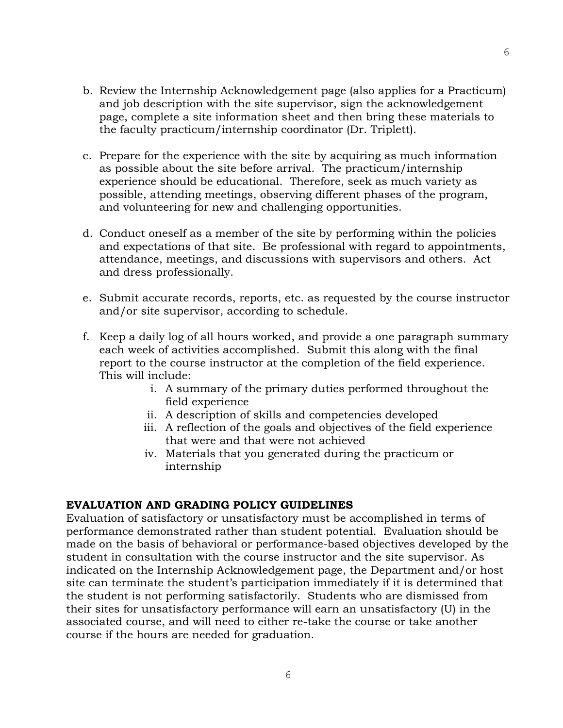- b. Review the Internship Acknowledgement page (also applies for a Practicum) and job description with the site supervisor, sign the acknowledgement page, complete a site information sheet and then bring these materials to the faculty practicum/internship coordinator (Dr. Triplett).
- c. Prepare for the experience with the site by acquiring as much information as possible about the site before arrival. The practicum/internship experience should be educational. Therefore, seek as much variety as possible, attending meetings, observing different phases of the program, and volunteering for new and challenging opportunities.
- d. Conduct oneself as a member of the site by performing within the policies and expectations of that site. Be professional with regard to appointments, attendance, meetings, and discussions with supervisors and others. Act and dress professionally.
- e. Submit accurate records, reports, etc. as requested by the course instructor and/or site supervisor, according to schedule.
- f. Keep a daily log of all hours worked, and provide a one paragraph summary each week of activities accomplished. Submit this along with the final report to the course instructor at the completion of the field experience. This will include:
	- i. A summary of the primary duties performed throughout the field experience
	- ii. A description of skills and competencies developed
	- iii. A reflection of the goals and objectives of the field experience that were and that were not achieved
	- iv. Materials that you generated during the practicum or internship

# **EVALUATION AND GRADING POLICY GUIDELINES**

Evaluation of satisfactory or unsatisfactory must be accomplished in terms of performance demonstrated rather than student potential. Evaluation should be made on the basis of behavioral or performance-based objectives developed by the student in consultation with the course instructor and the site supervisor. As indicated on the Internship Acknowledgement page, the Department and/or host site can terminate the student's participation immediately if it is determined that the student is not performing satisfactorily. Students who are dismissed from their sites for unsatisfactory performance will earn an unsatisfactory (U) in the associated course, and will need to either re-take the course or take another course if the hours are needed for graduation.